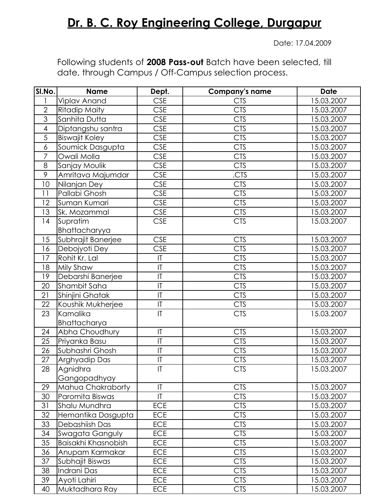## **Dr. B. C. Roy Engineering College, Durgapur**

Date: 17.04.2009

Following students of **2008 Pass-out** Batch have been selected, till date, through Campus / Off-Campus selection process.

| SI.No.                   | <b>Name</b>           | Dept.                             | <b>Company's name</b> | <b>Date</b> |
|--------------------------|-----------------------|-----------------------------------|-----------------------|-------------|
|                          | Viplav Anand          | <b>CSE</b>                        | <b>CTS</b>            | 15.03.2007  |
| $\overline{2}$           | <b>Ritadip Maity</b>  | <b>CSE</b>                        | $\overline{C}$ TS     | 15.03.2007  |
| 3                        | Sanhita Dutta         | <b>CSE</b>                        | <b>CTS</b>            | 15.03.2007  |
| $\overline{\mathcal{A}}$ | Diptangshu santra     | <b>CSE</b>                        | <b>CTS</b>            | 15.03.2007  |
| 5                        | <b>Biswajit Koley</b> | <b>CSE</b>                        | <b>CTS</b>            | 15.03.2007  |
| $\boldsymbol{6}$         | Soumick Dasgupta      | <b>CSE</b>                        | <b>CTS</b>            | 15.03.2007  |
| $\overline{7}$           | Owali Molla           | <b>CSE</b>                        | <b>CTS</b>            | 15.03.2007  |
| 8                        | Sanjay Moulik         | <b>CSE</b>                        | <b>CTS</b>            | 15.03.2007  |
| $\overline{9}$           | Amritava Majumdar     | <b>CSE</b>                        | .CTS                  | 15.03.2007  |
| 10                       | Nilanjan Dey          | <b>CSE</b>                        | <b>CTS</b>            | 15.03.2007  |
| 11                       | Pallabi Ghosh         | <b>CSE</b>                        | <b>CTS</b>            | 15.03.2007  |
| 12                       | Suman Kumari          | <b>CSE</b>                        | <b>CTS</b>            | 15.03.2007  |
| 13                       | Sk. Mozammal          | <b>CSE</b>                        | <b>CTS</b>            | 15.03.2007  |
| 14                       | Supratim              | <b>CSE</b>                        | <b>CTS</b>            | 15.03.2007  |
|                          | Bhattacharyya         |                                   |                       |             |
| 15                       | Subhrajit Banerjee    | <b>CSE</b>                        | <b>CTS</b>            | 15.03.2007  |
| 16                       | Debojyoti Dey         | <b>CSE</b>                        | <b>CTS</b>            | 15.03.2007  |
| 17                       | Rohit Kr. Lal         | $\sf I\bar{\sf I}$                | <b>CTS</b>            | 15.03.2007  |
| 18                       | Mily Shaw             | $ \mathsf{T} $                    | <b>CTS</b>            | 15.03.2007  |
| 19                       | Debarshi Banerjee     | $\mathsf{I}\mathsf{T}$            | <b>CTS</b>            | 15.03.2007  |
| 20                       | Shambit Saha          | $\mathsf{I}\mathsf{T}$            | <b>CTS</b>            | 15.03.2007  |
| 21                       | Shinjini Ghatak       | T                                 | <b>CTS</b>            | 15.03.2007  |
| 22                       | Koushik Mukherjee     | $\overline{\mathsf{I}\mathsf{I}}$ | <b>CTS</b>            | 15.03.2007  |
| 23                       | Kamalika              | $\mathsf{I}\mathsf{T}$            | <b>CTS</b>            | 15.03.2007  |
|                          | Bhattacharya          |                                   |                       |             |
| 24                       | Abha Choudhury        | T                                 | <b>CTS</b>            | 15.03.2007  |
| 25                       | Priyanka Basu         | T                                 | <b>CTS</b>            | 15.03.2007  |
| 26                       | Subhashri Ghosh       | $\mathsf{I}\mathsf{T}$            | <b>CTS</b>            | 15.03.2007  |
| 27                       | Arghyadip Das         | $\overline{1}$                    | <b>CTS</b>            | 15.03.2007  |
| 28                       | Agnidhra              | $\mathsf{I}\mathsf{T}$            | <b>CTS</b>            | 15.03.2007  |
|                          | Gangopadhyay          |                                   |                       |             |
| 29                       | Mahua Chakraborty     | $\mathsf{I}\mathsf{T}$            | <b>CTS</b>            | 15.03.2007  |
| 30                       | Paromita Biswas       | $\mathsf{I}\mathsf{T}$            | <b>CTS</b>            | 15.03.2007  |
| 31                       | Shalu Mundhra         | <b>ECE</b>                        | <b>CTS</b>            | 15.03.2007  |
| 32                       | Hemantika Dasgupta    | <b>ECE</b>                        | <b>CTS</b>            | 15.03.2007  |
| 33                       | Debashiish Das        | <b>ECE</b>                        | <b>CTS</b>            | 15.03.2007  |
| 34                       | Swagata Ganguly       | <b>ECE</b>                        | <b>CTS</b>            | 15.03.2007  |
| 35                       | Baisakhi Khasnobish   | <b>ECE</b>                        | <b>CTS</b>            | 15.03.2007  |
| 36                       | Anupam Karmakar       | <b>ECE</b>                        | <b>CTS</b>            | 15.03.2007  |
| 37                       | Subhajit Biswas       | <b>ECE</b>                        | <b>CTS</b>            | 15.03.2007  |
| 38                       | Indrani Das           | <b>ECE</b>                        | <b>CTS</b>            | 15.03.2007  |
| 39                       | Ayoti Lahiri          | <b>ECE</b>                        | <b>CTS</b>            | 15.03.2007  |
| 40                       | Muktadhara Ray        | <b>ECE</b>                        | <b>CTS</b>            | 15.03.2007  |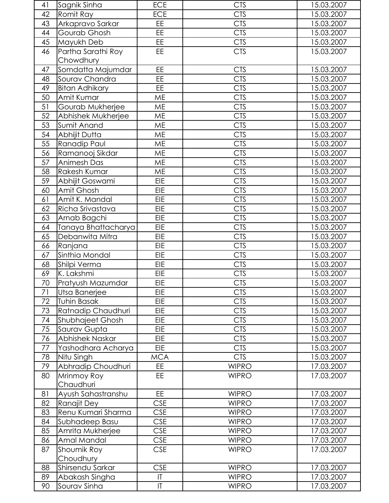| 41   | Sagnik Sinha        | <b>ECE</b>             | <b>CTS</b>   | 15.03.2007 |
|------|---------------------|------------------------|--------------|------------|
| 42   | Romit Ray           | <b>ECE</b>             | <b>CTS</b>   | 15.03.2007 |
| 43   | Arkapravo Sarkar    | EE.                    | <b>CTS</b>   | 15.03.2007 |
| 44   | Gourab Ghosh        | EE                     | <b>CTS</b>   | 15.03.2007 |
| 45   | Mayukh Deb          | EE.                    | <b>CTS</b>   | 15.03.2007 |
| 46   | Partha Sarathi Roy  | <b>EE</b>              | <b>CTS</b>   | 15.03.2007 |
|      | Chowdhury           |                        |              |            |
| 47   | Somdatta Majumdar   | <b>EE</b>              | <b>CTS</b>   | 15.03.2007 |
| 48   | Sourav Chandra      | <b>EE</b>              | <b>CTS</b>   | 15.03.2007 |
| 49   | Bitan Adhikary      | <b>EE</b>              | <b>CTS</b>   | 15.03.2007 |
| 50   | Amit Kumar          | ME                     | <b>CTS</b>   | 15.03.2007 |
| 51   | Gourab Mukherjee    | <b>ME</b>              | <b>CTS</b>   | 15.03.2007 |
| 52   | Abhishek Mukherjee  | <b>ME</b>              | <b>CTS</b>   | 15.03.2007 |
| 53   | Sumit Anand         | <b>ME</b>              | <b>CTS</b>   | 15.03.2007 |
| 54   | Abhijit Dutta       | ME                     | <b>CTS</b>   | 15.03.2007 |
| 55   | Ranadip Paul        | <b>ME</b>              | <b>CTS</b>   | 15.03.2007 |
| 56   | Ramanooj Sikdar     | <b>ME</b>              | <b>CTS</b>   | 15.03.2007 |
| 57   | Animesh Das         | <b>ME</b>              | <b>CTS</b>   | 15.03.2007 |
| 58   | Rakesh Kumar        | <b>ME</b>              | <b>CTS</b>   | 15.03.2007 |
|      |                     | EIE                    |              |            |
| 59   | Abhijit Goswami     |                        | <b>CTS</b>   | 15.03.2007 |
| 60   | Amit Ghosh          | <b>EIE</b>             | <b>CTS</b>   | 15.03.2007 |
| 61   | Amit K. Mandal      | EIE                    | <b>CTS</b>   | 15.03.2007 |
| 62   | Richa Srivastava    | <b>EIE</b>             | <b>CTS</b>   | 15.03.2007 |
| 63   | Arnab Bagchi        | EIE                    | <b>CTS</b>   | 15.03.2007 |
| 64   | Tanaya Bhattacharya | EIE                    | <b>CTS</b>   | 15.03.2007 |
| 65   | Debanwita Mitra     | EIE                    | <b>CTS</b>   | 15.03.2007 |
| 66   | Ranjana             | <b>EIE</b>             | <b>CTS</b>   | 15.03.2007 |
| 67   | Sinthia Mondal      | <b>EIE</b>             | <b>CTS</b>   | 15.03.2007 |
| 68   | Shilpi Verma        | EIE                    | <b>CTS</b>   | 15.03.2007 |
| 69   | K. Lakshmi          | EIE                    | <b>CTS</b>   | 15.03.2007 |
| 70   | Pratyush Mazumdar   | <b>EIE</b>             | <b>CTS</b>   | 15.03.2007 |
| 71   | Utsa Banerjee       | <b>EIE</b>             | <b>CTS</b>   | 15.03.2007 |
| 72   | Tuhin Basak         | EIE                    | <b>CTS</b>   | 15.03.2007 |
| 73   | Ratnadip Chaudhuri  | EIE                    | <b>CTS</b>   | 15.03.2007 |
| 74   | Shubhajeet Ghosh    | EIE                    | <b>CTS</b>   | 15.03.2007 |
| 75   | Saurav Gupta        | <b>EIE</b>             | <b>CTS</b>   | 15.03.2007 |
| 76   | Abhishek Naskar     | EIE                    | <b>CTS</b>   | 15.03.2007 |
| $77$ | Yashodhara Acharya  | <b>EIE</b>             | <b>CTS</b>   | 15.03.2007 |
| 78   | Nitu Singh          | <b>MCA</b>             | <b>CTS</b>   | 15.03.2007 |
| 79   | Abhradip Choudhuri  | EE.                    | <b>WIPRO</b> | 17.03.2007 |
| 80   | Mrinmoy Roy         | EE                     | <b>WIPRO</b> | 17.03.2007 |
|      | Chaudhuri           |                        |              |            |
| 81   | Ayush Sahastranshu  | EE                     | <b>WIPRO</b> | 17.03.2007 |
| 82   | Ranajit Dey         | <b>CSE</b>             | <b>WIPRO</b> | 17.03.2007 |
| 83   | Renu Kumari Sharma  | <b>CSE</b>             | <b>WIPRO</b> | 17.03.2007 |
| 84   | Subhadeep Basu      | <b>CSE</b>             | <b>WIPRO</b> | 17.03.2007 |
| 85   | Amrita Mukherjee    | <b>CSE</b>             | <b>WIPRO</b> | 17.03.2007 |
| 86   | Amal Mandal         | <b>CSE</b>             | <b>WIPRO</b> | 17.03.2007 |
| 87   | Shoumik Roy         | <b>CSE</b>             | <b>WIPRO</b> | 17.03.2007 |
|      | Choudhury           |                        |              |            |
| 88   | Shirsendu Sarkar    | <b>CSE</b>             | <b>WIPRO</b> | 17.03.2007 |
| 89   | Abakash Singha      | $\mathsf{I}\mathsf{T}$ | <b>WIPRO</b> | 17.03.2007 |
| 90   | Sourav Sinha        | $\mathsf{I}\mathsf{T}$ | <b>WIPRO</b> | 17.03.2007 |
|      |                     |                        |              |            |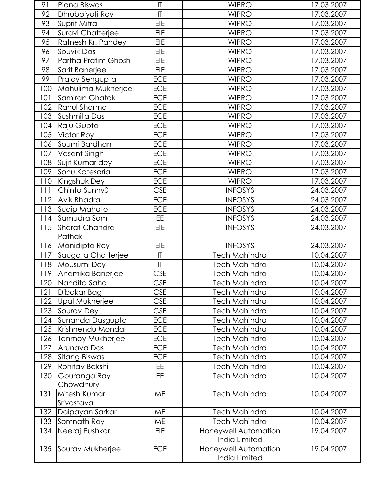| 91  | Piana Biswas               | IT           | <b>WIPRO</b>                          | 17.03.2007 |
|-----|----------------------------|--------------|---------------------------------------|------------|
| 92  | Dhrubojyoti Roy            | T            | <b>WIPRO</b>                          | 17.03.2007 |
| 93  | Suprit Mitra               | <b>EIE</b>   | <b>WIPRO</b>                          | 17.03.2007 |
| 94  | Suravi Chatterjee          | <b>EIE</b>   | <b>WIPRO</b>                          | 17.03.2007 |
| 95  | Ratnesh Kr. Pandey         | <b>EIE</b>   | <b>WIPRO</b>                          | 17.03.2007 |
| 96  | Souvik Das                 | EIE          | <b>WIPRO</b>                          | 17.03.2007 |
| 97  | Partha Pratim Ghosh        | <b>EIE</b>   | <b>WIPRO</b>                          | 17.03.2007 |
| 98  | Sarit Banerjee             | EIE          | <b>WIPRO</b>                          | 17.03.2007 |
| 99  | Praloy Sengupta            | <b>ECE</b>   | <b>WIPRO</b>                          | 17.03.2007 |
| 100 | Mahulima Mukherjee         | <b>ECE</b>   | <b>WIPRO</b>                          | 17.03.2007 |
| 101 | Samiran Ghatak             | <b>ECE</b>   | <b>WIPRO</b>                          | 17.03.2007 |
| 102 | Rahul Sharma               | <b>ECE</b>   | <b>WIPRO</b>                          | 17.03.2007 |
| 103 | Sushmita Das               | <b>ECE</b>   | <b>WIPRO</b>                          | 17.03.2007 |
| 104 | Raju Gupta                 | <b>ECE</b>   | <b>WIPRO</b>                          | 17.03.2007 |
| 105 | Victor Roy                 | <b>ECE</b>   | <b>WIPRO</b>                          | 17.03.2007 |
| 106 | Soumi Bardhan              | <b>ECE</b>   | <b>WIPRO</b>                          | 17.03.2007 |
| 107 | Vasant Singh               | <b>ECE</b>   | <b>WIPRO</b>                          | 17.03.2007 |
| 108 | Sujit Kumar dey            | <b>ECE</b>   | <b>WIPRO</b>                          | 17.03.2007 |
| 109 | Sonu Katesaria             | <b>ECE</b>   | <b>WIPRO</b>                          | 17.03.2007 |
| 110 | Kingshuk Dey               | <b>ECE</b>   | <b>WIPRO</b>                          | 17.03.2007 |
| 111 | Chinto Sunny0              | <b>CSE</b>   | <b>INFOSYS</b>                        | 24.03.2007 |
| 112 | Avik Bhadra                | <b>ECE</b>   | <b>INFOSYS</b>                        | 24.03.2007 |
| 113 | Sudip Mahato               | <b>ECE</b>   | <b>INFOSYS</b>                        | 24.03.2007 |
| 114 | Samudra Som                | EE           | <b>INFOSYS</b>                        | 24.03.2007 |
| 115 | Sharat Chandra             | <b>EIE</b>   | <b>INFOSYS</b>                        | 24.03.2007 |
|     | Pathak                     |              |                                       |            |
| 116 | Manidipta Roy              | <b>EIE</b>   | <b>INFOSYS</b>                        | 24.03.2007 |
| 117 | Saugata Chatterjee         | $\sf I\sf T$ | <b>Tech Mahindra</b>                  | 10.04.2007 |
| 118 | Mousumi Dey                | T            | <b>Tech Mahindra</b>                  | 10.04.2007 |
| 119 | Anamika Banerjee           | <b>CSE</b>   | <b>Tech Mahindra</b>                  | 10.04.2007 |
| 120 | Nandita Saha               | <b>CSE</b>   | <b>Tech Mahindra</b>                  | 10.04.2007 |
| 121 | Dibakar Bag                | <b>CSE</b>   | <b>Tech Mahindra</b>                  | 10.04.2007 |
| 122 | Upal Mukherjee             | <b>CSE</b>   | <b>Tech Mahindra</b>                  | 10.04.2007 |
| 123 | Sourav Dey                 | <b>CSE</b>   | <b>Tech Mahindra</b>                  | 10.04.2007 |
| 124 | Sunanda Dasgupta           | <b>ECE</b>   | <b>Tech Mahindra</b>                  | 10.04.2007 |
| 125 | Krishnendu Mondal          | <b>ECE</b>   | <b>Tech Mahindra</b>                  | 10.04.2007 |
| 126 | Tanmoy Mukherjee           | <b>ECE</b>   | <b>Tech Mahindra</b>                  | 10.04.2007 |
| 127 | Arunava Das                | <b>ECE</b>   | <b>Tech Mahindra</b>                  | 10.04.2007 |
| 128 | Sitang Biswas              | <b>ECE</b>   | <b>Tech Mahindra</b>                  | 10.04.2007 |
| 129 | Rohitav Bakshi             | EE.          | <b>Tech Mahindra</b>                  | 10.04.2007 |
| 130 | Gouranga Ray               | EE           | <b>Tech Mahindra</b>                  | 10.04.2007 |
|     | Chowdhury                  |              |                                       |            |
| 131 | Mitesh Kumar<br>Srivastava | <b>ME</b>    | <b>Tech Mahindra</b>                  | 10.04.2007 |
| 132 | Daipayan Sarkar            | <b>ME</b>    | <b>Tech Mahindra</b>                  | 10.04.2007 |
| 133 | Somnath Roy                | ME           | <b>Tech Mahindra</b>                  | 10.04.2007 |
| 134 | Neeraj Pushkar             | <b>EIE</b>   | Honeywell Automation                  | 19.04.2007 |
|     |                            |              | India Limited                         |            |
| 135 | Sourav Mukherjee           | <b>ECE</b>   | Honeywell Automation<br>India Limited | 19.04.2007 |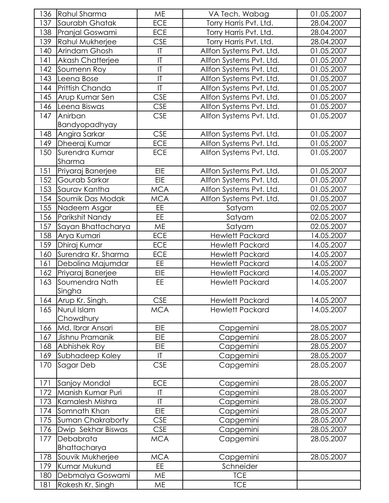| 136 | Rahul Sharma            | <b>ME</b>              | VA Tech. Wabag           | 01.05.2007 |
|-----|-------------------------|------------------------|--------------------------|------------|
| 137 | Saurabh Ghatak          | <b>ECE</b>             | Torry Harris Pvt. Ltd.   | 28.04.2007 |
| 138 | Pranjal Goswami         | <b>ECE</b>             | Torry Harris Pvt. Ltd.   | 28.04.2007 |
| 139 | Rahul Mukherjee         | <b>CSE</b>             | Torry Harris Pvt. Ltd.   | 28.04.2007 |
| 140 | Arindam Ghosh           | $\mathsf{I}\mathsf{T}$ | Allfon Systems Pvt. Ltd. | 01.05.2007 |
| 141 | <b>Akash Chatterjee</b> | $\mathsf{I}\mathsf{T}$ | Allfon Systems Pvt. Ltd. | 01.05.2007 |
| 142 | Soumenn Roy             | T                      | Allfon Systems Pvt. Ltd. | 01.05.2007 |
| 143 | Leena Bose              | $\mathsf{I}\mathsf{T}$ | Allfon Systems Pvt. Ltd. | 01.05.2007 |
| 144 | Prittish Chanda         | $\overline{1}$         | Allfon Systems Pvt. Ltd. | 01.05.2007 |
| 145 | Arup Kumar Sen          | <b>CSE</b>             | Allfon Systems Pvt. Ltd. | 01.05.2007 |
| 146 | Leena Biswas            | <b>CSE</b>             | Allfon Systems Pvt. Ltd. | 01.05.2007 |
| 147 | Anirban                 | <b>CSE</b>             | Allfon Systems Pvt. Ltd. | 01.05.2007 |
|     | Bandyopadhyay           |                        |                          |            |
| 148 | Angira Sarkar           | <b>CSE</b>             | Allfon Systems Pvt. Ltd. | 01.05.2007 |
| 149 | Dheeraj Kumar           | <b>ECE</b>             | Allfon Systems Pvt. Ltd. | 01.05.2007 |
| 150 | Surendra Kumar          | <b>ECE</b>             | Allfon Systems Pvt. Ltd. | 01.05.2007 |
|     | Sharma                  |                        |                          |            |
| 151 | Priyaraj Banerjee       | <b>EIE</b>             | Allfon Systems Pvt. Ltd. | 01.05.2007 |
| 152 | Gourab Sarkar           | <b>EIE</b>             | Allfon Systems Pvt. Ltd. | 01.05.2007 |
| 153 | Saurav Kantha           | <b>MCA</b>             | Allfon Systems Pvt. Ltd. | 01.05.2007 |
| 154 | Soumik Das Modak        | <b>MCA</b>             | Allfon Systems Pvt. Ltd. | 01.05.2007 |
| 155 | Nadeem Asgar            | EE                     | Satyam                   | 02.05.2007 |
| 156 | Parikshit Nandy         | EE.                    | Satyam                   | 02.05.2007 |
| 157 | Sayan Bhattacharya      | ME                     | Satyam                   | 02.05.2007 |
| 158 | Arya Kumari             | <b>ECE</b>             | <b>Hewlett Packard</b>   | 14.05.2007 |
| 159 | Dhiraj Kumar            | ECE                    | <b>Hewlett Packard</b>   | 14.05.2007 |
| 160 | Surendra Kr. Sharma     | <b>ECE</b>             | <b>Hewlett Packard</b>   | 14.05.2007 |
| 161 | Debolina Majumdar       | <b>EE</b>              | <b>Hewlett Packard</b>   | 14.05.2007 |
| 162 | Priyaraj Banerjee       | <b>EIE</b>             | <b>Hewlett Packard</b>   | 14.05.2007 |
| 163 | Soumendra Nath          | EE                     | <b>Hewlett Packard</b>   | 14.05.2007 |
|     | Singha                  |                        |                          |            |
| 164 | Arup Kr. Singh.         | <b>CSE</b>             | <b>Hewlett Packard</b>   | 14.05.2007 |
| 165 | Nurul Islam             | <b>MCA</b>             | <b>Hewlett Packard</b>   | 14.05.2007 |
|     | Chowdhury               |                        |                          |            |
| 166 | Md. Ibrar Ansari        | <b>EIE</b>             | Capgemini                | 28.05.2007 |
| 167 | Jishnu Pramanik         | EIE                    | Capgemini                | 28.05.2007 |
| 168 | Abhishek Roy            | EIE                    | Capgemini                | 28.05.2007 |
| 169 | Subhadeep Koley         | $\mathsf{I}\mathsf{T}$ | Capgemini                | 28.05.2007 |
| 170 | Sagar Deb               | <b>CSE</b>             | Capgemini                | 28.05.2007 |
|     |                         |                        |                          |            |
| 171 | Sanjoy Mondal           | <b>ECE</b>             | Capgemini                | 28.05.2007 |
| 172 | Manish Kumar Puri       | $\mathsf{I}\mathsf{T}$ | Capgemini                | 28.05.2007 |
| 173 | Kamalesh Mishra         | $\mathsf{I}\mathsf{T}$ | Capgemini                | 28.05.2007 |
| 174 | Somnath Khan            | <b>EIE</b>             | Capgemini                | 28.05.2007 |
| 175 | Suman Chakraborty       | <b>CSE</b>             | Capgemini                | 28.05.2007 |
| 176 | Dwip Sekhar Biswas      | <b>CSE</b>             | Capgemini                | 28.05.2007 |
| 177 | Debabrata               | <b>MCA</b>             | Capgemini                | 28.05.2007 |
|     | Bhattacharya            |                        |                          |            |
| 178 | Souvik Mukherjee        | <b>MCA</b>             | Capgemini                | 28.05.2007 |
| 179 | Kumar Mukund            | EE.                    | Schneider                |            |
| 180 | Debmalya Goswami        | <b>ME</b>              | <b>TCE</b>               |            |
| 181 | Rakesh Kr. Singh        | ME                     | <b>TCE</b>               |            |
|     |                         |                        |                          |            |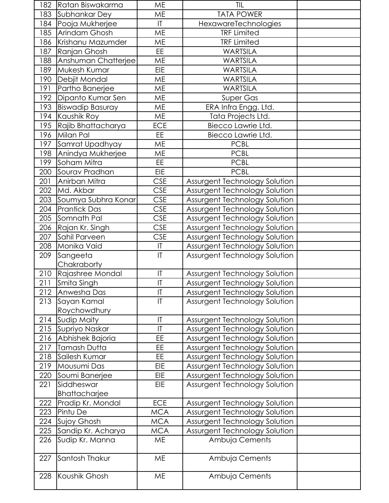| 182 | Ratan Biswakarma        | ME                      | <b>TIL</b>                    |  |
|-----|-------------------------|-------------------------|-------------------------------|--|
| 183 | Subhankar Dey           | <b>ME</b>               | <b>TATA POWER</b>             |  |
| 184 | Pooja Mukherjee         | $\mathsf{I}\mathsf{T}$  | HexawareTechnologies          |  |
| 185 | Arindam Ghosh           | <b>ME</b>               | <b>TRF Limited</b>            |  |
| 186 | Krishanu Mazumder       | <b>ME</b>               | <b>TRF Limited</b>            |  |
| 187 | Ranjan Ghosh            | EE                      | <b>WARTSILA</b>               |  |
| 188 | Anshuman Chatterjee     | <b>ME</b>               | <b>WARTSILA</b>               |  |
| 189 | Mukesh Kumar            | <b>EIE</b>              | <b>WARTSILA</b>               |  |
| 190 | Debjit Mondal           | <b>ME</b>               | <b>WARTSILA</b>               |  |
| 191 | Partho Banerjee         | <b>ME</b>               | <b>WARTSILA</b>               |  |
| 192 | Dipanto Kumar Sen       | <b>ME</b>               | <b>Super Gas</b>              |  |
| 193 | <b>Biswadip Basuray</b> | <b>ME</b>               | ERA Infra Engg. Ltd.          |  |
| 194 | Kaushik Roy             | <b>ME</b>               | Tata Projects Ltd.            |  |
| 195 | Rajib Bhattacharya      | <b>ECE</b>              | Biecco Lawrie Ltd.            |  |
| 196 | Milan Pal               | EE                      | Biecco Lawrie Ltd.            |  |
| 197 | Samrat Upadhyay         | ME                      | <b>PCBL</b>                   |  |
| 198 | Anindya Mukherjee       | <b>ME</b>               | <b>PCBL</b>                   |  |
| 199 | Soham Mitra             | EE                      | <b>PCBL</b>                   |  |
| 200 | Sourav Pradhan          | <b>EIE</b>              | <b>PCBL</b>                   |  |
| 201 | Anirban Mitra           | <b>CSE</b>              | Assurgent Technology Solution |  |
| 202 | Md. Akbar               | <b>CSE</b>              | Assurgent Technology Solution |  |
| 203 | Soumya Subhra Konar     | <b>CSE</b>              | Assurgent Technology Solution |  |
| 204 | Prantick Das            | <b>CSE</b>              | Assurgent Technology Solution |  |
| 205 | Somnath Pal             | <b>CSE</b>              | Assurgent Technology Solution |  |
| 206 | Rajan Kr. Singh         | <b>CSE</b>              | Assurgent Technology Solution |  |
| 207 | Sahil Parveen           | <b>CSE</b>              | Assurgent Technology Solution |  |
| 208 | Monika Vaid             | $\sf I\bar{\sf I}$      | Assurgent Technology Solution |  |
| 209 | Sangeeta<br>Chakraborty | $\mathsf{I}\mathsf{T}$  | Assurgent Technology Solution |  |
| 210 | Rajashree Mondal        | T                       | Assurgent Technology Solution |  |
| 211 | Smita Singh             | $\overline{\mathsf{I}}$ | Assurgent Technology Solution |  |
| 212 | Anwesha Das             | T                       | Assurgent Technology Solution |  |
| 213 | Sayan Kamal             | T                       | Assurgent Technology Solution |  |
|     | Roychowdhury            |                         |                               |  |
| 214 | Sudip Maity             | T                       | Assurgent Technology Solution |  |
| 215 | Supriyo Naskar          | T                       | Assurgent Technology Solution |  |
| 216 | Abhishek Bajoria        | EE                      | Assurgent Technology Solution |  |
| 217 | Tamash Dutta            | EE                      | Assurgent Technology Solution |  |
| 218 | Sailesh Kumar           | EE                      | Assurgent Technology Solution |  |
| 219 | Mousumi Das             | EIE                     | Assurgent Technology Solution |  |
| 220 | Soumi Banerjee          | EIE                     | Assurgent Technology Solution |  |
| 221 | Siddheswar              | <b>EIE</b>              | Assurgent Technology Solution |  |
|     | Bhattacharjee           |                         |                               |  |
| 222 | Pradip Kr. Mondal       | <b>ECE</b>              | Assurgent Technology Solution |  |
| 223 | Pintu De                | <b>MCA</b>              | Assurgent Technology Solution |  |
| 224 | Sujoy Ghosh             | <b>MCA</b>              | Assurgent Technology Solution |  |
| 225 | Sandip Kr. Acharya      | <b>MCA</b>              | Assurgent Technology Solution |  |
| 226 | Sudip Kr. Manna         | <b>ME</b>               | Ambuja Cements                |  |
| 227 | Santosh Thakur          | <b>ME</b>               | Ambuja Cements                |  |
| 228 | Koushik Ghosh           | <b>ME</b>               | Ambuja Cements                |  |
|     |                         |                         |                               |  |